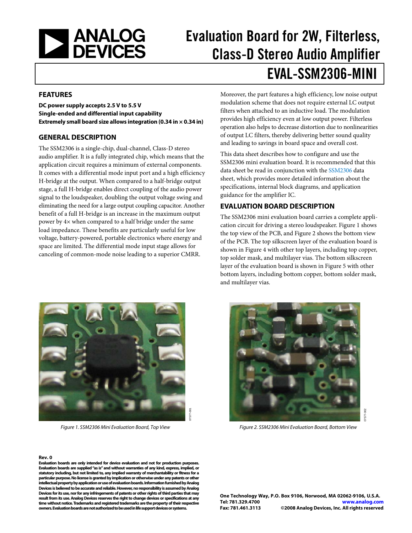<span id="page-0-1"></span>

# Evaluation Board for 2W, Filterless, Class-D Stereo Audio Amplifier EVAL-SSM2306-MINI

#### **FEATURES**

**DC power supply accepts 2.5 V to 5.5 V Single-ended and differential input capability Extremely small board size allows integration (0.34 in × 0.34 in)** 

#### **GENERAL DESCRIPTION**

The SSM2306 is a single-chip, dual-channel, Class-D stereo audio amplifier. It is a fully integrated chip, which means that the application circuit requires a minimum of external components. It comes with a differential mode input port and a high efficiency H-bridge at the output. When compared to a half-bridge output stage, a full H-bridge enables direct coupling of the audio power signal to the loudspeaker, doubling the output voltage swing and eliminating the need for a large output coupling capacitor. Another benefit of a full H-bridge is an increase in the maximum output power by 4× when compared to a half bridge under the same load impedance. These benefits are particularly useful for low voltage, battery-powered, portable electronics where energy and space are limited. The differential mode input stage allows for canceling of common-mode noise leading to a superior CMRR.

Moreover, the part features a high efficiency, low noise output modulation scheme that does not require external LC output filters when attached to an inductive load. The modulation provides high efficiency even at low output power. Filterless operation also helps to decrease distortion due to nonlinearities of output LC filters, thereby delivering better sound quality and leading to savings in board space and overall cost.

This data sheet describes how to configure and use the SSM2306 mini evaluation board. It is recommended that this data sheet be read in conjunction with the [SSM2306](http://www.analog.com/SSM2306) data sheet, which provides more detailed information about the specifications, internal block diagrams, and application guidance for the amplifier IC.

#### **EVALUATION BOARD DESCRIPTION**

The [SSM2306](http://www.analog.com/SSM2301) mini evaluation board carries a complete application circuit for driving a stereo loudspeaker. [Figure 1](#page-0-0) shows the top view of the PCB, and [Figure 2](#page-0-0) shows the bottom view of the PCB. The top silkscreen layer of the evaluation board is shown in [Figure 4](#page-5-0) with other top layers, including top copper, top solder mask, and multilayer vias. The bottom silkscreen layer of the evaluation board is shown in [Figure 5](#page-5-0) with other bottom layers, including bottom copper, bottom solder mask, and multilayer vias.



Figure 1. SSM2306 Mini Evaluation Board, Top View

#### <span id="page-0-0"></span>**Rev. 0**

Evaluation boards are only intended for device evaluation and not for production purposes.  **or Evaluation boards are supplied "as is" and without warranties of any kind, express, implied, r a statutory including, but not limited to, any implied warranty of merchantability or fitness fo her particular purpose. No license is granted by implication or otherwise under any patents or ot og intellectual property by application or use of evaluation boards. Information furnished by Anal og Devices is believed to be accurate and reliable. However, no responsibility is assumed by Anal ay Devices for its use, nor for any infringements of patents or other rights of third parties that m** result from its use. Analog Devices reserves the right to change devices or specifications at any **ive time without notice. Trademarks and registered trademarks are the property of their respect owners. Evaluation boards are not authorized to be used in life support devices or systems.** 



Figure 2. SSM2306 Mini Evaluation Board, Bottom View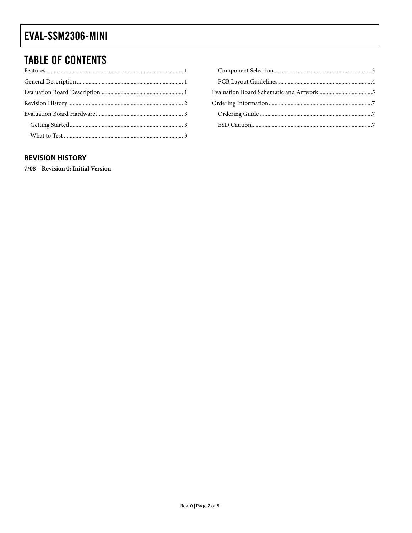### <span id="page-1-0"></span>EVAL-SSM2306-MINI

### **TABLE OF CONTENTS**

#### **REVISION HISTORY**

7/08-Revision 0: Initial Version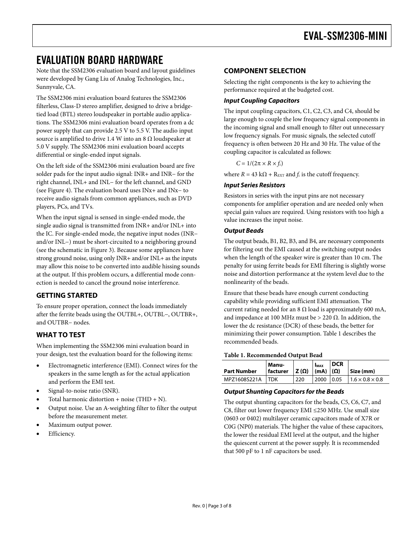### <span id="page-2-1"></span><span id="page-2-0"></span>EVALUATION BOARD HARDWARE

Note that the [SSM2306](http://www.analog.com/SSM2301) evaluation board and layout guidelines were developed by Gang Liu of Analog Technologies, Inc., Sunnyvale, CA.

The SSM2306 mini evaluation board features the SSM2306 filterless, Class-D stereo amplifier, designed to drive a bridgetied load (BTL) stereo loudspeaker in portable audio applications. The SSM2306 mini evaluation board operates from a dc power supply that can provide 2.5 V to 5.5 V. The audio input source is amplified to drive 1.4 W into an 8  $\Omega$  loudspeaker at 5.0 V supply. The SSM2306 mini evaluation board accepts differential or single-ended input signals.

On the left side of the SSM2306 mini evaluation board are five solder pads for the input audio signal: INR+ and INR− for the right channel, INL+ and INL− for the left channel, and GND (see [Figure 4](#page-5-0)). The evaluation board uses INx+ and INx− to receive audio signals from common appliances, such as DVD players, PCs, and TVs.

When the input signal is sensed in single-ended mode, the single audio signal is transmitted from INR+ and/or INL+ into the IC. For single-ended mode, the negative input nodes (INR− and/or INL−) must be short-circuited to a neighboring ground (see the schematic in [Figure 3](#page-4-1)). Because some appliances have strong ground noise, using only INR+ and/or INL+ as the inputs may allow this noise to be converted into audible hissing sounds at the output. If this problem occurs, a differential mode connection is needed to cancel the ground noise interference.

#### **GETTING STARTED**

To ensure proper operation, connect the loads immediately after the ferrite beads using the OUTBL+, OUTBL−, OUTBR+, and OUTBR− nodes.

### **WHAT TO TEST**

When implementing the SSM2306 mini evaluation board in your design, test the evaluation board for the following items:

- <span id="page-2-2"></span>• Electromagnetic interference (EMI). Connect wires for the speakers in the same length as for the actual application and perform the EMI test.
- Signal-to-noise ratio (SNR).
- Total harmonic distortion + noise (THD + N).
- Output noise. Use an A-weighting filter to filter the output before the measurement meter.
- Maximum output power.
- Efficiency.

#### **COMPONENT SELECTION**

Selecting the right components is the key to achieving the performance required at the budgeted cost.

#### **Input Coupling Capacitors**

The input coupling capacitors, C1, C2, C3, and C4, should be large enough to couple the low frequency signal components in the incoming signal and small enough to filter out unnecessary low frequency signals. For music signals, the selected cutoff frequency is often between 20 Hz and 30 Hz. The value of the coupling capacitor is calculated as follows:

 $C = 1/(2\pi \times R \times f_c)$ 

where  $R = 43 \text{ k}\Omega + \text{R}_{\text{EXT}}$  and  $f_c$  is the cutoff frequency.

#### **Input Series Resistors**

Resistors in series with the input pins are not necessary components for amplifier operation and are needed only when special gain values are required. Using resistors with too high a value increases the input noise.

#### **Output Beads**

The output beads, B1, B2, B3, and B4, are necessary components for filtering out the EMI caused at the switching output nodes when the length of the speaker wire is greater than 10 cm. The penalty for using ferrite beads for EMI filtering is slightly worse noise and distortion performance at the system level due to the nonlinearity of the beads.

Ensure that these beads have enough current conducting capability while providing sufficient EMI attenuation. The current rating needed for an 8  $\Omega$  load is approximately 600 mA, and impedance at 100 MHz must be  $> 220 \Omega$ . In addition, the lower the dc resistance (DCR) of these beads, the better for minimizing their power consumption. [Table 1](#page-2-2) describes the recommended beads.

#### **Table 1. Recommended Output Bead**

| <b>Part Number</b> | Manu-<br>facturer | Z(Ω) | <b>IMAX</b><br>$\lfloor$ (mA) $\lfloor$ ( $\Omega$ ) | <b>DCR</b> | Size (mm)                   |
|--------------------|-------------------|------|------------------------------------------------------|------------|-----------------------------|
| MPZ1608S221A       | TDK               | 220  | .2000                                                | 0.05       | $1.6 \times 0.8 \times 0.8$ |

#### **Output Shunting Capacitors for the Beads**

The output shunting capacitors for the beads, C5, C6, C7, and C8, filter out lower frequency EMI ≤250 MHz. Use small size (0603 or 0402) multilayer ceramic capacitors made of X7R or C0G (NP0) materials. The higher the value of these capacitors, the lower the residual EMI level at the output, and the higher the quiescent current at the power supply. It is recommended that 500 pF to 1 nF capacitors be used.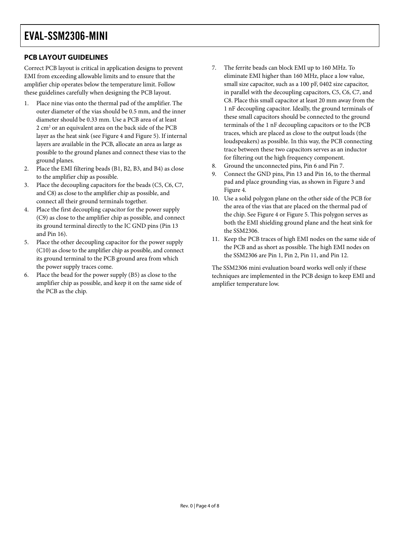### <span id="page-3-0"></span>**PCB LAYOUT GUIDELINES**

Correct PCB layout is critical in application designs to prevent EMI from exceeding allowable limits and to ensure that the amplifier chip operates below the temperature limit. Follow these guidelines carefully when designing the PCB layout.

- 1. Place nine vias onto the thermal pad of the amplifier. The outer diameter of the vias should be 0.5 mm, and the inner diameter should be 0.33 mm. Use a PCB area of at least 2 cm<sup>2</sup> or an equivalent area on the back side of the PCB layer as the heat sink (see [Figure 4](#page-5-0) and [Figure 5](#page-5-0)). If internal layers are available in the PCB, allocate an area as large as possible to the ground planes and connect these vias to the ground planes.
- 2. Place the EMI filtering beads (B1, B2, B3, and B4) as close to the amplifier chip as possible.
- 3. Place the decoupling capacitors for the beads (C5, C6, C7, and C8) as close to the amplifier chip as possible, and connect all their ground terminals together.
- 4. Place the first decoupling capacitor for the power supply (C9) as close to the amplifier chip as possible, and connect its ground terminal directly to the IC GND pins (Pin 13 and Pin 16).
- 5. Place the other decoupling capacitor for the power supply (C10) as close to the amplifier chip as possible, and connect its ground terminal to the PCB ground area from which the power supply traces come.
- 6. Place the bead for the power supply (B5) as close to the amplifier chip as possible, and keep it on the same side of the PCB as the chip.
- 7. The ferrite beads can block EMI up to 160 MHz. To eliminate EMI higher than 160 MHz, place a low value, small size capacitor, such as a 100 pF, 0402 size capacitor, in parallel with the decoupling capacitors, C5, C6, C7, and C8. Place this small capacitor at least 20 mm away from the 1 nF decoupling capacitor. Ideally, the ground terminals of these small capacitors should be connected to the ground terminals of the 1 nF decoupling capacitors or to the PCB traces, which are placed as close to the output loads (the loudspeakers) as possible. In this way, the PCB connecting trace between these two capacitors serves as an inductor for filtering out the high frequency component.
- 8. Ground the unconnected pins, Pin 6 and Pin 7.
- 9. Connect the GND pins, Pin 13 and Pin 16, to the thermal pad and place grounding vias, as shown in [Figure 3](#page-4-1) and [Figure 4](#page-5-0).
- 10. Use a solid polygon plane on the other side of the PCB for the area of the vias that are placed on the thermal pad of the chip. See [Figure 4](#page-5-0) or [Figure 5](#page-5-0). This polygon serves as both the EMI shielding ground plane and the heat sink for the SSM2306.
- 11. Keep the PCB traces of high EMI nodes on the same side of the PCB and as short as possible. The high EMI nodes on the SSM2306 are Pin 1, Pin 2, Pin 11, and Pin 12.

The SSM2306 mini evaluation board works well only if these techniques are implemented in the PCB design to keep EMI and amplifier temperature low.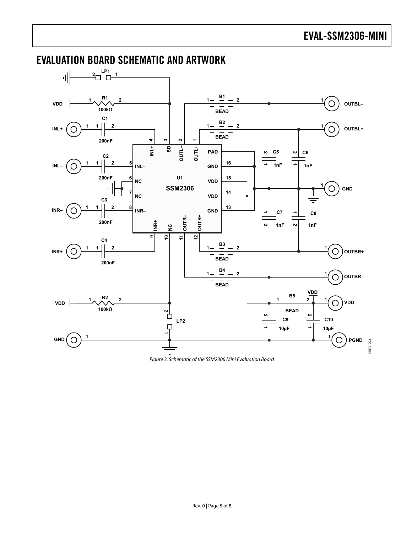07577-003

07577-003

#### **2 1 1 1 1** 해  $\lambda$  **2 2**  $1 - \frac{B1}{2} - 2$ **1 VDD**  $\bigcirc$ **OUTBL– 100kΩ BEAD C1**  $1 - \frac{B2}{B} - 2$ **1 2 INL+**  $\left(\bigcirc$  $\bigcirc$  outbl+ **BEAD 200nF OUTL– <sup>2</sup> OUTL+ <sup>1</sup> SD <sup>3</sup> INL+ <sup>4</sup> PAD C5 C6 1 2**  $\frac{1}{2}$  **2**<br> $\frac{1}{2}$  **1 1 2 C2 1**  $|$  **2 16 5 <sup>1</sup> INL– INL– GND 1nF 200nF U1 15 6 NC VDD 1 SSM2306 GND** 파 O **14 7 NC VDD C3 1 2 13 8 INR−**  $\bigcap$ **INR– GND C7 C8 1 1**  $\mathbf{I}$ **OUTR– OUTR+ 200nF INR+**  $\overline{2}$ **NC 1nF**  $\overline{v}$ **1nF 10 11 12 9 C4**  $1 - \frac{B3}{2} - 2$ **1 2 1 1 INR+**  $\bigcirc$  $\bigcirc$ **OUTBR+** BEAD<sup>-</sup> **200nF** 1- $\frac{B4}{-}$  - 2  $\bigcirc$  ) о∪твк– BEAD<sup>-</sup> **VDD**  $1 - \frac{B5}{2} - 2$  $R^2$   $2$ **<sup>1</sup> VDD VDD**  $\frac{1}{2}$ **100kΩ BEAD 1 2 1 2 1 2 C9 C10 LP2**  $\Box$ **10µF 10µF 1 <sup>1</sup> GND PGND**  $\bigcirc$

### <span id="page-4-1"></span><span id="page-4-0"></span>EVALUATION BOARD SCHEMATIC AND ARTWORK

Figure 3. Schematic of the SSM2306 Mini Evaluation Board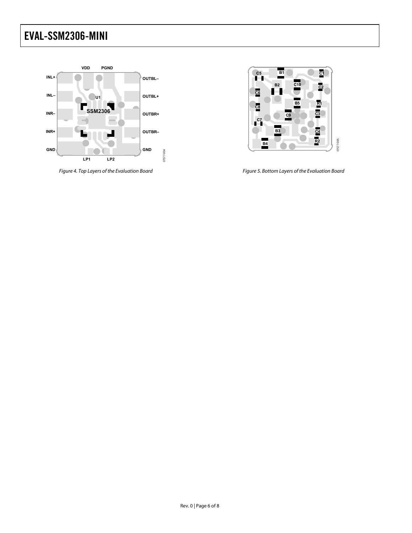### <span id="page-5-0"></span>EVAL-SSM2306-MINI



Figure 4. Top Layers of the Evaluation Board



Figure 5. Bottom Layers of the Evaluation Board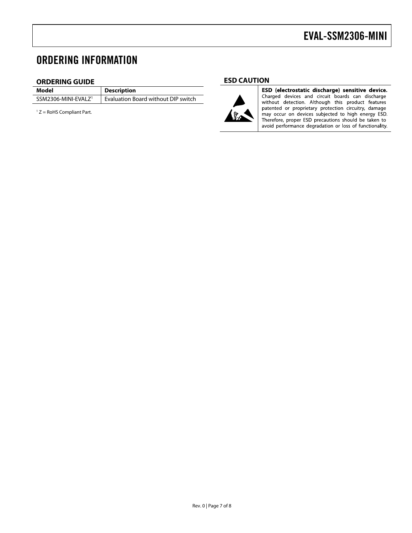### <span id="page-6-0"></span>ORDERING INFORMATION

#### **ORDERING GUIDE**

**Description** SSM2306-MINI-EVALZ<sup>1</sup> Evaluation Board without DIP switch

 $1 Z =$  RoHS Compliant Part.





ESD (electrostatic discharge) sensitive device. Charged devices and circuit boards can discharge<br>without detection. Although this product features patented or proprietary protection circuitry, damage may occur on devices subjected to high energy ESD.<br>Therefore, proper ESD precautions should be taken to avoid performance degradation or loss of functionality.